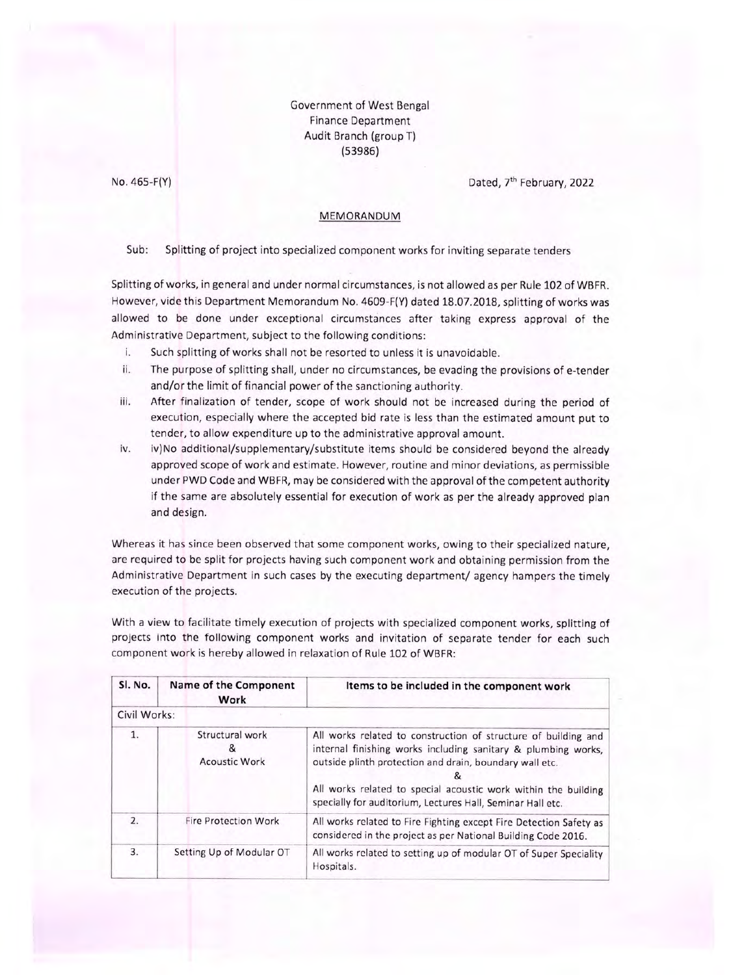Government of West Bengal **Finance Department** Audit Branch (group T)  $(53986)$ 

No. 465-F(Y)

Dated, 7<sup>th</sup> February, 2022

## MEMORANDUM

Sub: Splitting of project into specialized component works for inviting separate tenders

Splitting of works, in general and under normal circumstances, is not allowed as per Rule 102 of WBFR. However, vide this Department Memorandum No. 4609-F(Y) dated 18.07.2018, splitting of works was allowed to be done under exceptional circumstances after taking express approval of the Administrative Department, subject to the following conditions:

- Such splitting of works shall not be resorted to unless it is unavoidable. i.
- The purpose of splitting shall, under no circumstances, be evading the provisions of e-tender ii. and/or the limit of financial power of the sanctioning authority.
- iii. After finalization of tender, scope of work should not be increased during the period of execution, especially where the accepted bid rate is less than the estimated amount put to tender, to allow expenditure up to the administrative approval amount.
- iv. iv)No additional/supplementary/substitute items should be considered beyond the already approved scope of work and estimate. However, routine and minor deviations, as permissible under PWD Code and WBFR, may be considered with the approval of the competent authority if the same are absolutely essential for execution of work as per the already approved plan and design.

Whereas it has since been observed that some component works, owing to their specialized nature, are required to be split for projects having such component work and obtaining permission from the Administrative Department in such cases by the executing department/ agency hampers the timely execution of the projects.

With a view to facilitate timely execution of projects with specialized component works, splitting of projects into the following component works and invitation of separate tender for each such component work is hereby allowed in relaxation of Rule 102 of WBFR:

| Sl. No.          | Name of the Component<br>Work                | Items to be included in the component work                                                                                                                                                                                                                                                                                 |
|------------------|----------------------------------------------|----------------------------------------------------------------------------------------------------------------------------------------------------------------------------------------------------------------------------------------------------------------------------------------------------------------------------|
| Civil Works:     |                                              |                                                                                                                                                                                                                                                                                                                            |
| 1.               | Structural work<br>&<br><b>Acoustic Work</b> | All works related to construction of structure of building and<br>internal finishing works including sanitary & plumbing works,<br>outside plinth protection and drain, boundary wall etc.<br>All works related to special acoustic work within the building<br>specially for auditorium, Lectures Hall, Seminar Hall etc. |
| $\overline{2}$ . | <b>Fire Protection Work</b>                  | All works related to Fire Fighting except Fire Detection Safety as<br>considered in the project as per National Building Code 2016.                                                                                                                                                                                        |
| 3.               | Setting Up of Modular OT                     | All works related to setting up of modular OT of Super Speciality<br>Hospitals.                                                                                                                                                                                                                                            |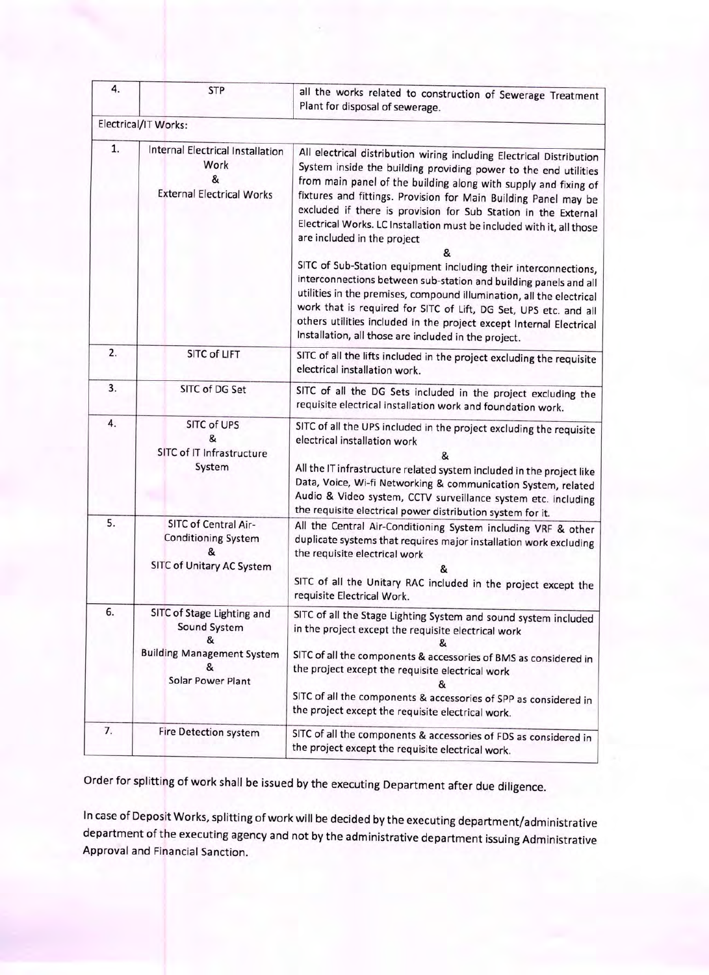| 4. | <b>STP</b>                                                                                                             | all the works related to construction of Sewerage Treatment<br>Plant for disposal of sewerage.                                                                                                                                                                                                                                                                                                                                                                                                                                                                                                                                                                                                                                                                                                                                                                                 |
|----|------------------------------------------------------------------------------------------------------------------------|--------------------------------------------------------------------------------------------------------------------------------------------------------------------------------------------------------------------------------------------------------------------------------------------------------------------------------------------------------------------------------------------------------------------------------------------------------------------------------------------------------------------------------------------------------------------------------------------------------------------------------------------------------------------------------------------------------------------------------------------------------------------------------------------------------------------------------------------------------------------------------|
|    | Electrical/IT Works:                                                                                                   |                                                                                                                                                                                                                                                                                                                                                                                                                                                                                                                                                                                                                                                                                                                                                                                                                                                                                |
| 1. | Internal Electrical Installation<br>Work<br>&<br><b>External Electrical Works</b>                                      | All electrical distribution wiring including Electrical Distribution<br>System inside the building providing power to the end utilities<br>from main panel of the building along with supply and fixing of<br>fixtures and fittings. Provision for Main Building Panel may be<br>excluded if there is provision for Sub Station in the External<br>Electrical Works. LC Installation must be included with it, all those<br>are included in the project<br>&<br>SITC of Sub-Station equipment including their interconnections,<br>interconnections between sub-station and building panels and all<br>utilities in the premises, compound illumination, all the electrical<br>work that is required for SITC of Lift, DG Set, UPS etc. and all<br>others utilities included in the project except Internal Electrical<br>Installation, all those are included in the project. |
| 2. | <b>SITC of LIFT</b>                                                                                                    | SITC of all the lifts included in the project excluding the requisite<br>electrical installation work.                                                                                                                                                                                                                                                                                                                                                                                                                                                                                                                                                                                                                                                                                                                                                                         |
| 3. | SITC of DG Set                                                                                                         | SITC of all the DG Sets included in the project excluding the<br>requisite electrical installation work and foundation work.                                                                                                                                                                                                                                                                                                                                                                                                                                                                                                                                                                                                                                                                                                                                                   |
| 4. | SITC of UPS<br>&<br>SITC of IT Infrastructure<br>System                                                                | SITC of all the UPS included in the project excluding the requisite<br>electrical installation work<br>&<br>All the IT infrastructure related system included in the project like<br>Data, Voice, Wi-fi Networking & communication System, related<br>Audio & Video system, CCTV surveillance system etc. including<br>the requisite electrical power distribution system for it.                                                                                                                                                                                                                                                                                                                                                                                                                                                                                              |
| 5. | SITC of Central Air-<br><b>Conditioning System</b><br>SITC of Unitary AC System                                        | All the Central Air-Conditioning System including VRF & other<br>duplicate systems that requires major installation work excluding<br>the requisite electrical work<br>SITC of all the Unitary RAC included in the project except the<br>requisite Electrical Work.                                                                                                                                                                                                                                                                                                                                                                                                                                                                                                                                                                                                            |
| 6. | SITC of Stage Lighting and<br>Sound System<br>8.<br><b>Building Management System</b><br>&<br><b>Solar Power Plant</b> | SITC of all the Stage Lighting System and sound system included<br>in the project except the requisite electrical work<br>SITC of all the components & accessories of BMS as considered in<br>the project except the requisite electrical work<br>&<br>SITC of all the components & accessories of SPP as considered in<br>the project except the requisite electrical work.                                                                                                                                                                                                                                                                                                                                                                                                                                                                                                   |
| 7. | Fire Detection system                                                                                                  | SITC of all the components & accessories of FDS as considered in<br>the project except the requisite electrical work.                                                                                                                                                                                                                                                                                                                                                                                                                                                                                                                                                                                                                                                                                                                                                          |

Order for splitting of work shall be issued by the executing Department after due diligence.

In case of Deposit Works, splitting of work will be decided by the executing department/administrative department of the executing agency and not by the administrative department issuing Administrative Approval and Financial Sanction.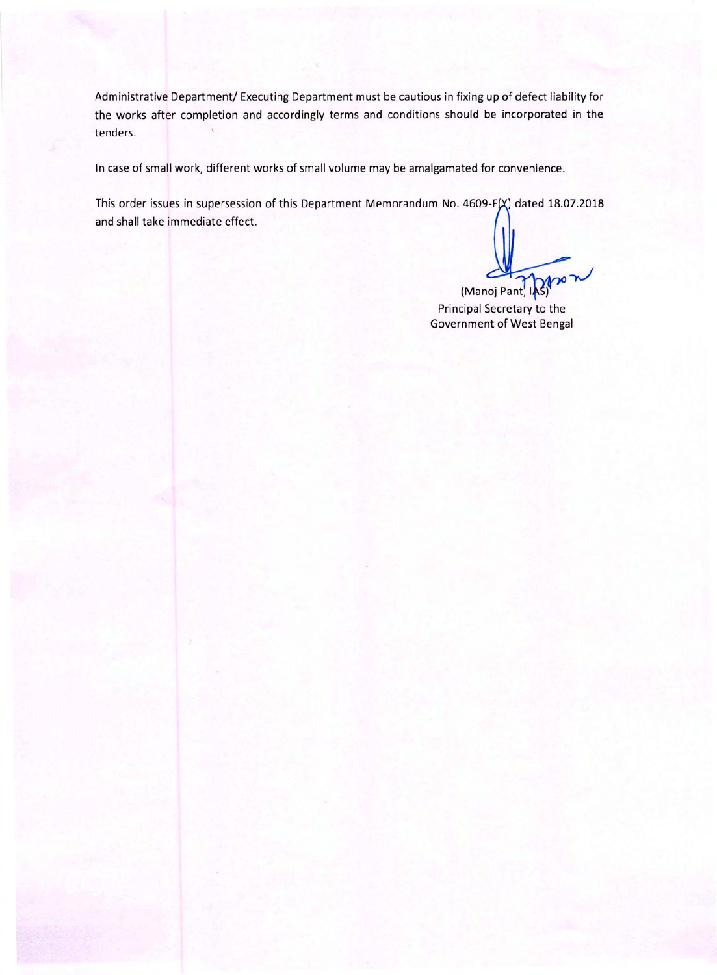Administrative Department/ Executing Department must be cautious in fixing up of defect liability for the works after completion and accordingly terms and conditions should be incorporated in the tenders.

In case of small work, different works of small volume may be amalgamated for convenience.

This order issues in supersession of this Department Memorandum No. 4609-F(X) dated 18.07.2018 and shall take immediate effect.

(Manoj Pant, 18)

Principal Secretary to the **Government of West Bengal**